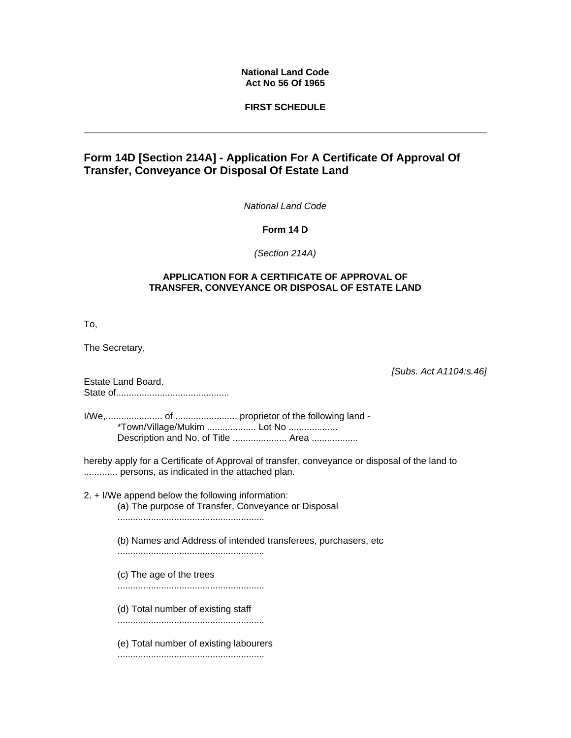## **National Land Code Act No 56 Of 1965**

## **FIRST SCHEDULE**

## **Form 14D [Section 214A] - Application For A Certificate Of Approval Of Transfer, Conveyance Or Disposal Of Estate Land**

*National Land Code*

**Form 14 D**

*(Section 214A)* 

## **APPLICATION FOR A CERTIFICATE OF APPROVAL OF TRANSFER, CONVEYANCE OR DISPOSAL OF ESTATE LAND**

To,

The Secretary,

*[Subs. Act A1104:s.46]*

Estate Land Board. State of............................................

I/We,...................... of ........................ proprietor of the following land - \*Town/Village/Mukim ................... Lot No ................... Description and No. of Title ..................... Area ...................

hereby apply for a Certificate of Approval of transfer, conveyance or disposal of the land to ............. persons, as indicated in the attached plan.

- 2. + I/We append below the following information: (a) The purpose of Transfer, Conveyance or Disposal .........................................................
	- (b) Names and Address of intended transferees, purchasers, etc .........................................................
	- (c) The age of the trees

.........................................................

- (d) Total number of existing staff
- .........................................................
- (e) Total number of existing labourers

.........................................................